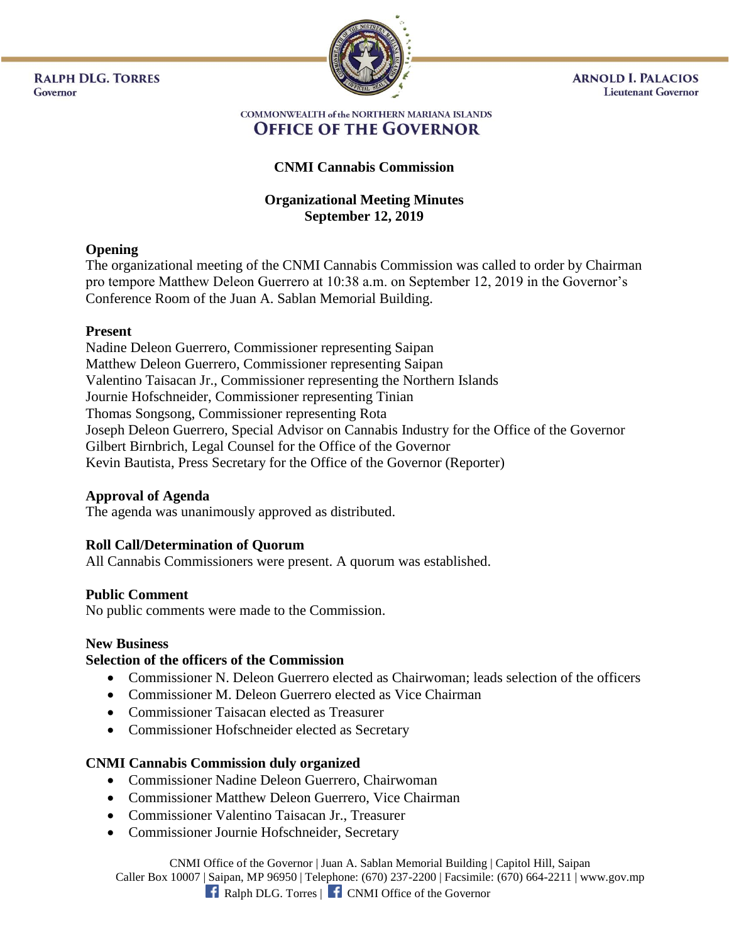**RALPH DLG. TORRES** Governor



**ARNOLD I. PALACIOS Lieutenant Governor** 

#### **COMMONWEALTH of the NORTHERN MARIANA ISLANDS OFFICE OF THE GOVERNOR**

# **CNMI Cannabis Commission**

# **Organizational Meeting Minutes September 12, 2019**

## **Opening**

The organizational meeting of the CNMI Cannabis Commission was called to order by Chairman pro tempore Matthew Deleon Guerrero at 10:38 a.m. on September 12, 2019 in the Governor's Conference Room of the Juan A. Sablan Memorial Building.

#### **Present**

Nadine Deleon Guerrero, Commissioner representing Saipan Matthew Deleon Guerrero, Commissioner representing Saipan Valentino Taisacan Jr., Commissioner representing the Northern Islands Journie Hofschneider, Commissioner representing Tinian Thomas Songsong, Commissioner representing Rota Joseph Deleon Guerrero, Special Advisor on Cannabis Industry for the Office of the Governor Gilbert Birnbrich, Legal Counsel for the Office of the Governor Kevin Bautista, Press Secretary for the Office of the Governor (Reporter)

#### **Approval of Agenda**

The agenda was unanimously approved as distributed.

## **Roll Call/Determination of Quorum**

All Cannabis Commissioners were present. A quorum was established.

#### **Public Comment**

No public comments were made to the Commission.

#### **New Business**

#### **Selection of the officers of the Commission**

- Commissioner N. Deleon Guerrero elected as Chairwoman; leads selection of the officers
- Commissioner M. Deleon Guerrero elected as Vice Chairman
- Commissioner Taisacan elected as Treasurer
- Commissioner Hofschneider elected as Secretary

## **CNMI Cannabis Commission duly organized**

- Commissioner Nadine Deleon Guerrero, Chairwoman
- Commissioner Matthew Deleon Guerrero, Vice Chairman
- Commissioner Valentino Taisacan Jr., Treasurer
- Commissioner Journie Hofschneider, Secretary

CNMI Office of the Governor | Juan A. Sablan Memorial Building | Capitol Hill, Saipan Caller Box 10007 | Saipan, MP 96950 | Telephone: (670) 237-2200 | Facsimile: (670) 664-2211 | www.gov.mp **f** Ralph DLG. Torres | **f** CNMI Office of the Governor